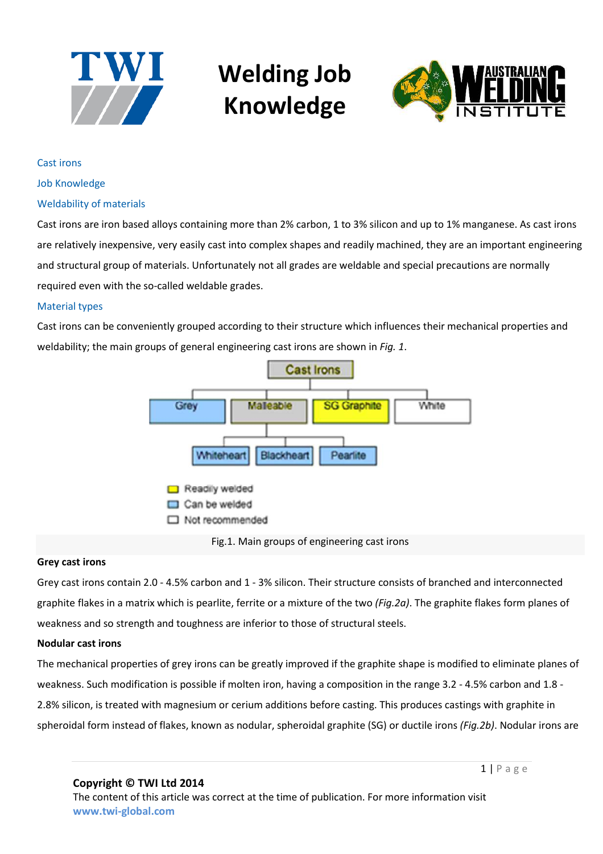



Cast irons

Job Knowledge

#### Weldability of materials

Cast irons are iron based alloys containing more than 2% carbon, 1 to 3% silicon and up to 1% manganese. As cast irons are relatively inexpensive, very easily cast into complex shapes and readily machined, they are an important engineering and structural group of materials. Unfortunately not all grades are weldable and special precautions are normally required even with the so-called weldable grades.

#### Material types

Cast irons can be conveniently grouped according to their structure which influences their mechanical properties and weldability; the main groups of general engineering cast irons are shown in *Fig. 1*.



Fig.1. Main groups of engineering cast irons

#### **Grey cast irons**

Grey cast irons contain 2.0 - 4.5% carbon and 1 - 3% silicon. Their structure consists of branched and interconnected graphite flakes in a matrix which is pearlite, ferrite or a mixture of the two *(Fig.2a)*. The graphite flakes form planes of weakness and so strength and toughness are inferior to those of structural steels.

#### **Nodular cast irons**

The mechanical properties of grey irons can be greatly improved if the graphite shape is modified to eliminate planes of weakness. Such modification is possible if molten iron, having a composition in the range 3.2 - 4.5% carbon and 1.8 - 2.8% silicon, is treated with magnesium or cerium additions before casting. This produces castings with graphite in spheroidal form instead of flakes, known as nodular, spheroidal graphite (SG) or ductile irons *(Fig.2b)*. Nodular irons are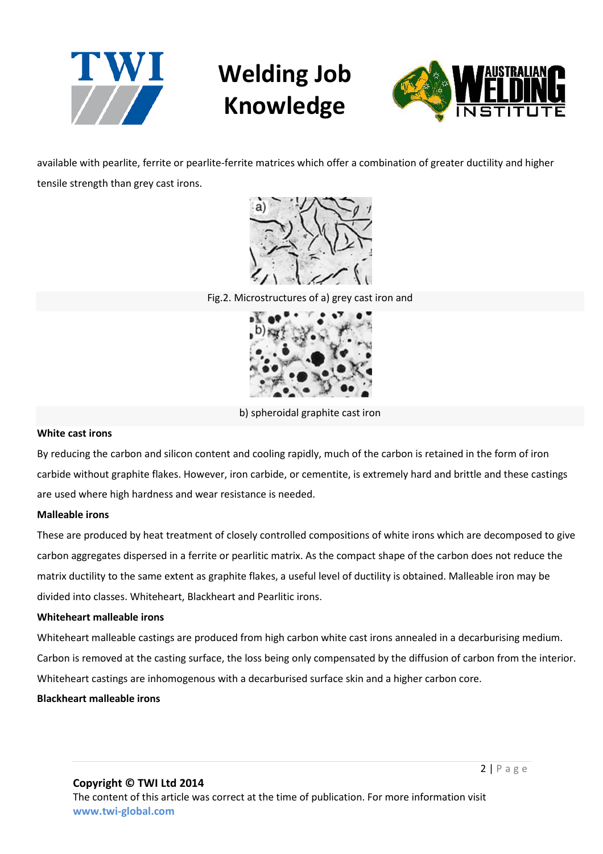



available with pearlite, ferrite or pearlite-ferrite matrices which offer a combination of greater ductility and higher tensile strength than grey cast irons.



Fig.2. Microstructures of a) grey cast iron and



b) spheroidal graphite cast iron

## **White cast irons**

By reducing the carbon and silicon content and cooling rapidly, much of the carbon is retained in the form of iron carbide without graphite flakes. However, iron carbide, or cementite, is extremely hard and brittle and these castings are used where high hardness and wear resistance is needed.

## **Malleable irons**

These are produced by heat treatment of closely controlled compositions of white irons which are decomposed to give carbon aggregates dispersed in a ferrite or pearlitic matrix. As the compact shape of the carbon does not reduce the matrix ductility to the same extent as graphite flakes, a useful level of ductility is obtained. Malleable iron may be divided into classes. Whiteheart, Blackheart and Pearlitic irons.

#### **Whiteheart malleable irons**

Whiteheart malleable castings are produced from high carbon white cast irons annealed in a decarburising medium. Carbon is removed at the casting surface, the loss being only compensated by the diffusion of carbon from the interior. Whiteheart castings are inhomogenous with a decarburised surface skin and a higher carbon core.

#### **Blackheart malleable irons**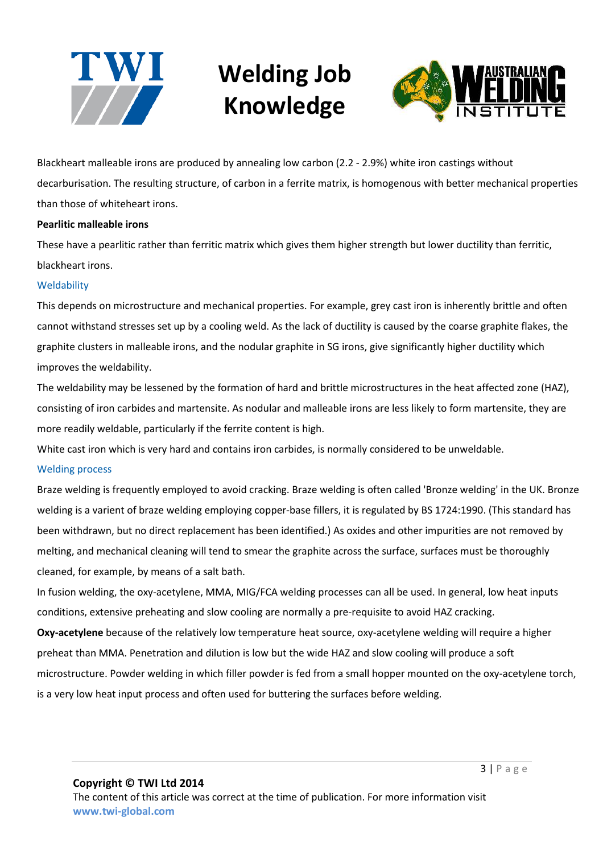



Blackheart malleable irons are produced by annealing low carbon (2.2 - 2.9%) white iron castings without decarburisation. The resulting structure, of carbon in a ferrite matrix, is homogenous with better mechanical properties than those of whiteheart irons.

### **Pearlitic malleable irons**

These have a pearlitic rather than ferritic matrix which gives them higher strength but lower ductility than ferritic, blackheart irons.

### **Weldability**

This depends on microstructure and mechanical properties. For example, grey cast iron is inherently brittle and often cannot withstand stresses set up by a cooling weld. As the lack of ductility is caused by the coarse graphite flakes, the graphite clusters in malleable irons, and the nodular graphite in SG irons, give significantly higher ductility which improves the weldability.

The weldability may be lessened by the formation of hard and brittle microstructures in the heat affected zone (HAZ), consisting of iron carbides and martensite. As nodular and malleable irons are less likely to form martensite, they are more readily weldable, particularly if the ferrite content is high.

White cast iron which is very hard and contains iron carbides, is normally considered to be unweldable.

#### Welding process

Braze welding is frequently employed to avoid cracking. Braze welding is often called 'Bronze welding' in the UK. Bronze welding is a varient of braze welding employing copper-base fillers, it is regulated by BS 1724:1990. (This standard has been withdrawn, but no direct replacement has been identified.) As oxides and other impurities are not removed by melting, and mechanical cleaning will tend to smear the graphite across the surface, surfaces must be thoroughly cleaned, for example, by means of a salt bath.

In fusion welding, the oxy-acetylene, MMA, MIG/FCA welding processes can all be used. In general, low heat inputs conditions, extensive preheating and slow cooling are normally a pre-requisite to avoid HAZ cracking.

**Oxy-acetylene** because of the relatively low temperature heat source, oxy-acetylene welding will require a higher preheat than MMA. Penetration and dilution is low but the wide HAZ and slow cooling will produce a soft microstructure. Powder welding in which filler powder is fed from a small hopper mounted on the oxy-acetylene torch, is a very low heat input process and often used for buttering the surfaces before welding.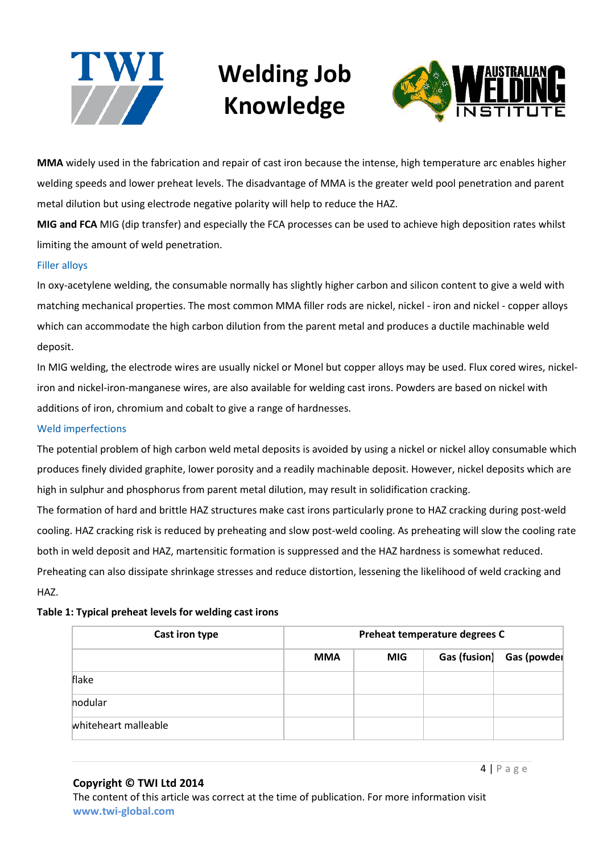



**MMA** widely used in the fabrication and repair of cast iron because the intense, high temperature arc enables higher welding speeds and lower preheat levels. The disadvantage of MMA is the greater weld pool penetration and parent metal dilution but using electrode negative polarity will help to reduce the HAZ.

**MIG and FCA** MIG (dip transfer) and especially the FCA processes can be used to achieve high deposition rates whilst limiting the amount of weld penetration.

## Filler alloys

In oxy-acetylene welding, the consumable normally has slightly higher carbon and silicon content to give a weld with matching mechanical properties. The most common MMA filler rods are nickel, nickel - iron and nickel - copper alloys which can accommodate the high carbon dilution from the parent metal and produces a ductile machinable weld deposit.

In MIG welding, the electrode wires are usually nickel or Monel but copper alloys may be used. Flux cored wires, nickeliron and nickel-iron-manganese wires, are also available for welding cast irons. Powders are based on nickel with additions of iron, chromium and cobalt to give a range of hardnesses.

#### Weld imperfections

The potential problem of high carbon weld metal deposits is avoided by using a nickel or nickel alloy consumable which produces finely divided graphite, lower porosity and a readily machinable deposit. However, nickel deposits which are high in sulphur and phosphorus from parent metal dilution, may result in solidification cracking.

The formation of hard and brittle HAZ structures make cast irons particularly prone to HAZ cracking during post-weld cooling. HAZ cracking risk is reduced by preheating and slow post-weld cooling. As preheating will slow the cooling rate both in weld deposit and HAZ, martensitic formation is suppressed and the HAZ hardness is somewhat reduced. Preheating can also dissipate shrinkage stresses and reduce distortion, lessening the likelihood of weld cracking and HAZ.

## **Table 1: Typical preheat levels for welding cast irons**

| Cast iron type       | Preheat temperature degrees C |            |              |             |  |
|----------------------|-------------------------------|------------|--------------|-------------|--|
|                      | <b>MMA</b>                    | <b>MIG</b> | Gas (fusion) | Gas (powder |  |
| flake                |                               |            |              |             |  |
| hodular              |                               |            |              |             |  |
| whiteheart malleable |                               |            |              |             |  |

#### **Copyright © TWI Ltd 2014**

The content of this article was correct at the time of publication. For more information visit **www.twi-global.com**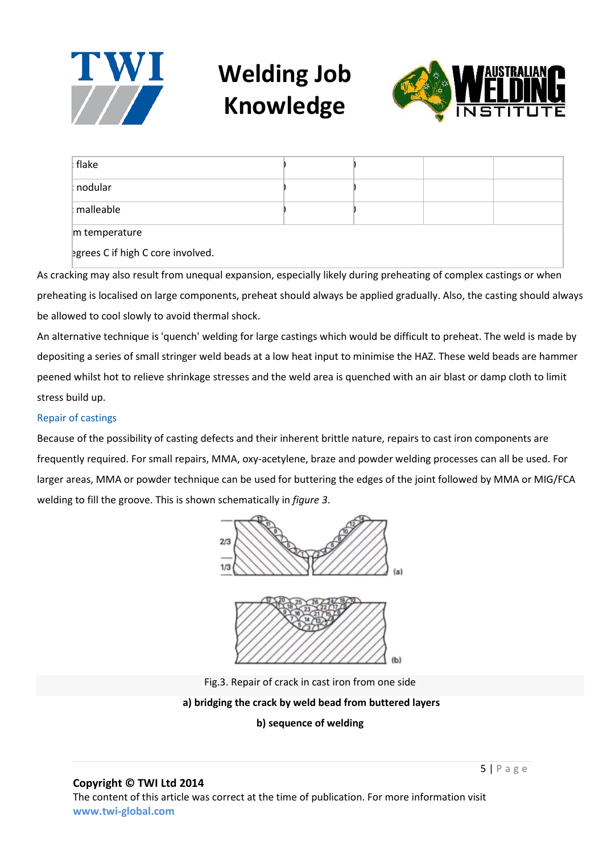



| flake     |  |  |
|-----------|--|--|
| : nodular |  |  |
| malleable |  |  |
|           |  |  |

 $m$  temperature

egrees C if high C core involved.

As cracking may also result from unequal expansion, especially likely during preheating of complex castings or when preheating is localised on large components, preheat should always be applied gradually. Also, the casting should always be allowed to cool slowly to avoid thermal shock.

An alternative technique is 'quench' welding for large castings which would be difficult to preheat. The weld is made by depositing a series of small stringer weld beads at a low heat input to minimise the HAZ. These weld beads are hammer peened whilst hot to relieve shrinkage stresses and the weld area is quenched with an air blast or damp cloth to limit stress build up.

## Repair of castings

Because of the possibility of casting defects and their inherent brittle nature, repairs to cast iron components are frequently required. For small repairs, MMA, oxy-acetylene, braze and powder welding processes can all be used. For larger areas, MMA or powder technique can be used for buttering the edges of the joint followed by MMA or MIG/FCA welding to fill the groove. This is shown schematically in *figure 3*.





Fig.3. Repair of crack in cast iron from one side

#### **a) bridging the crack by weld bead from buttered layers**

## **b) sequence of welding**